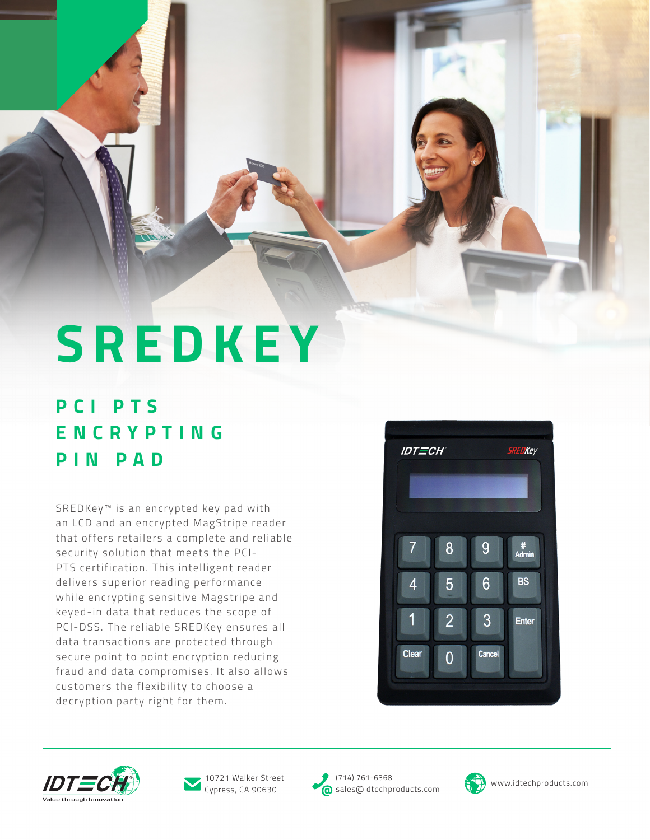**SREDKEY**

## **P C I P T S E N C R Y P T I N G PIN PAD**

SREDKey<sup>™</sup> is an encrypted key pad with an LCD and an encrypted MagStripe reader that offers retailers a complete and reliable security solution that meets the PCI-PTS certification. This intelligent reader delivers superior reading performance while encrypting sensitive Magstripe and keyed-in data that reduces the scope of PCI-DSS. The reliable SREDKey ensures all data transactions are protected through secure point to point encryption reducing fraud and data compromises. It also allows customers the flexibility to choose a decryption party right for them.







Cypress, CA 90630